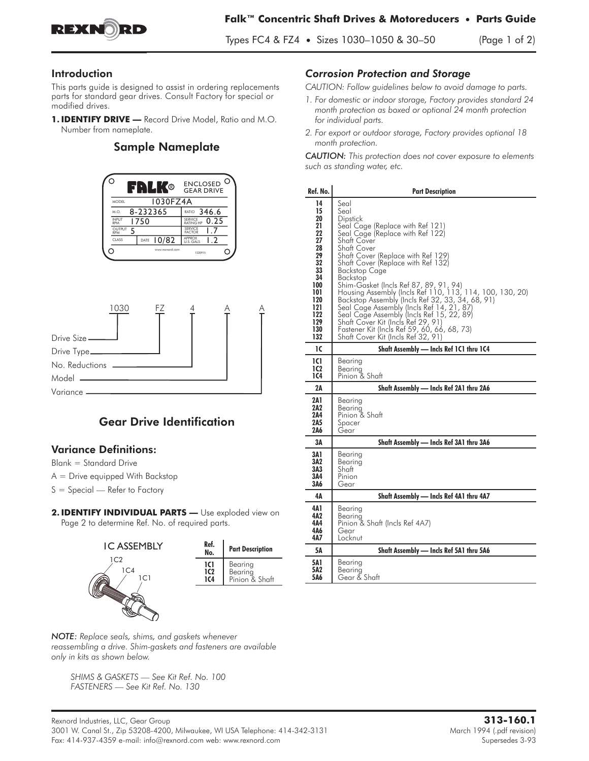

### Introduction

This parts guide is designed to assist in ordering replacements parts for standard gear drives. Consult Factory for special or modified drives.

1. **IDENTIFY DRIVE** - Record Drive Model, Ratio and M.O. Number from nameplate.

## Sample Nameplate





# Gear Drive Identification

#### **Variance Definitions:**

**Blank = Standard Drive**

- **A = Drive equipped With Backstop**
- **S = Special Refer to Factory**
- 2. IDENTIFY INDIVIDUAL PARTS Use exploded view on Page 2 to determine Ref. No. of required parts.



| Ref.<br>No. | <b>Part Description</b> |
|-------------|-------------------------|
| 1C1         | Bearing                 |
| 1C2         | Bearing                 |
| 104         | Pinion & Shaft          |

*NOTE: Replace seals, shims, and gaskets whenever reassembling a drive. Shim-gaskets and fasteners are available only in kits as shown below.*

*SHIMS & GASKETS — See Kit Ref. No. 100 FASTENERS — See Kit Ref. No. 130*

### *Corrosion Protection and Storage*

*CAUTION: Follow guidelines below to avoid damage to parts.*

- *1. For domestic or indoor storage, Factory provides standard 24 month protection as boxed or optional 24 month protection for individual parts.*
- *2. For export or outdoor storage, Factory provides optional 18 month protection.*

*CAUTION: This protection does not cover exposure to elements such as standing water, etc.*

| Ref. No.                                                                                                               | <b>Part Description</b>                                                                                                                                                                                                                                                                                                                                                                                                                                                                                                                                                                                                       |
|------------------------------------------------------------------------------------------------------------------------|-------------------------------------------------------------------------------------------------------------------------------------------------------------------------------------------------------------------------------------------------------------------------------------------------------------------------------------------------------------------------------------------------------------------------------------------------------------------------------------------------------------------------------------------------------------------------------------------------------------------------------|
| 14<br>15<br>20<br>21<br>22<br>27<br>28<br>29<br>32<br>33<br>34<br>100<br>101<br>120<br>121<br>122<br>129<br>130<br>132 | Seal<br>Seal<br>Dipstick<br>Seal Cage (Replace with Ref 121)<br>Seal Cage (Replace with Ref 122)<br>Shaft Cover<br>Shaft Cover<br>Shaft Cover (Replace with Ref 129)<br>Shaft Cover (Replace with Ref 132)<br><b>Backstop Cage</b><br>Backstop<br>Shim-Gasket (Incls Ref 87, 89, 91, 94)<br>Housing Assembly (Incls Ref 110, 113, 114, 100, 130, 20)<br>Backstop Assembly (Incls Ref 32, 33, 34, 68, 91)<br>Seal Cage Assembly (Incls Ref 14, 21, 87)<br>Seal Cage Assembly (Incls Ref 15, 22, 89)<br>Shaft Cover Kit (Incls Ref 29, 91)<br>Fastener Kit (Incls Ref 59, 60, 66, 68, 73)<br>Shaft Cover Kit (Incls Ref 32, 91) |
| 1C                                                                                                                     | Shaft Assembly - Incls Ref 1C1 thru 1C4                                                                                                                                                                                                                                                                                                                                                                                                                                                                                                                                                                                       |
| 1C1<br>1C2<br>1C4                                                                                                      | Bearing<br>Bearing<br>Pinion & Shaft                                                                                                                                                                                                                                                                                                                                                                                                                                                                                                                                                                                          |
| 2Α                                                                                                                     | Shaft Assembly - Incls Ref 2A1 thru 2A6                                                                                                                                                                                                                                                                                                                                                                                                                                                                                                                                                                                       |
| 2A 1<br>2A2<br>2A4<br>2A5<br>2A6                                                                                       | Bearing<br>Bearina<br>Pinion & Shaft<br>Spacer<br>Gear                                                                                                                                                                                                                                                                                                                                                                                                                                                                                                                                                                        |
| 3Α                                                                                                                     | Shaft Assembly - Incls Ref 3A1 thru 3A6                                                                                                                                                                                                                                                                                                                                                                                                                                                                                                                                                                                       |
| 3A 1<br>3Α2<br>3A3<br>3A4<br>3A6                                                                                       | Bearing<br>Bearina<br>Shaft<br>Pinion<br>Gear                                                                                                                                                                                                                                                                                                                                                                                                                                                                                                                                                                                 |
| 4Α                                                                                                                     | Shaft Assembly - Incls Ref 4A1 thru 4A7                                                                                                                                                                                                                                                                                                                                                                                                                                                                                                                                                                                       |
| 4A 1<br>4A2<br>4Α4<br>4A6<br>4A7                                                                                       | Bearing<br>Bearing<br>Pinion & Shaft (Incls Ref 4A7)<br>Gear<br>Locknut                                                                                                                                                                                                                                                                                                                                                                                                                                                                                                                                                       |
| 5Α                                                                                                                     | Shaft Assembly - Incls Ref 5A1 thru 5A6                                                                                                                                                                                                                                                                                                                                                                                                                                                                                                                                                                                       |
| 5A 1<br>5A2<br>5A6                                                                                                     | Bearing<br>Bearing<br>Gear & Shaft                                                                                                                                                                                                                                                                                                                                                                                                                                                                                                                                                                                            |